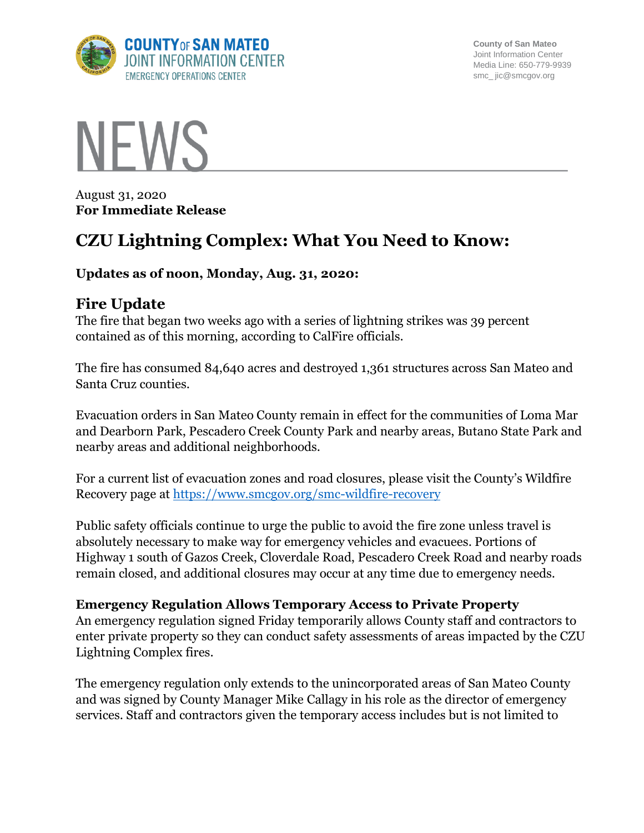

**County of San Mateo** Joint Information Center Media Line: 650-779-9939 smc\_ jic@smcgov.org



August 31, 2020 **For Immediate Release**

# **CZU Lightning Complex: What You Need to Know:**

#### **Updates as of noon, Monday, Aug. 31, 2020:**

#### **Fire Update**

The fire that began two weeks ago with a series of lightning strikes was 39 percent contained as of this morning, according to CalFire officials.

The fire has consumed 84,640 acres and destroyed 1,361 structures across San Mateo and Santa Cruz counties.

Evacuation orders in San Mateo County remain in effect for the communities of Loma Mar and Dearborn Park, Pescadero Creek County Park and nearby areas, Butano State Park and nearby areas and additional neighborhoods.

For a current list of evacuation zones and road closures, please visit the County's Wildfire Recovery page at<https://www.smcgov.org/smc-wildfire-recovery>

Public safety officials continue to urge the public to avoid the fire zone unless travel is absolutely necessary to make way for emergency vehicles and evacuees. Portions of Highway 1 south of Gazos Creek, Cloverdale Road, Pescadero Creek Road and nearby roads remain closed, and additional closures may occur at any time due to emergency needs.

#### **Emergency Regulation Allows Temporary Access to Private Property**

An emergency regulation signed Friday temporarily allows County staff and contractors to enter private property so they can conduct safety assessments of areas impacted by the CZU Lightning Complex fires.

The emergency regulation only extends to the unincorporated areas of San Mateo County and was signed by County Manager Mike Callagy in his role as the director of emergency services. Staff and contractors given the temporary access includes but is not limited to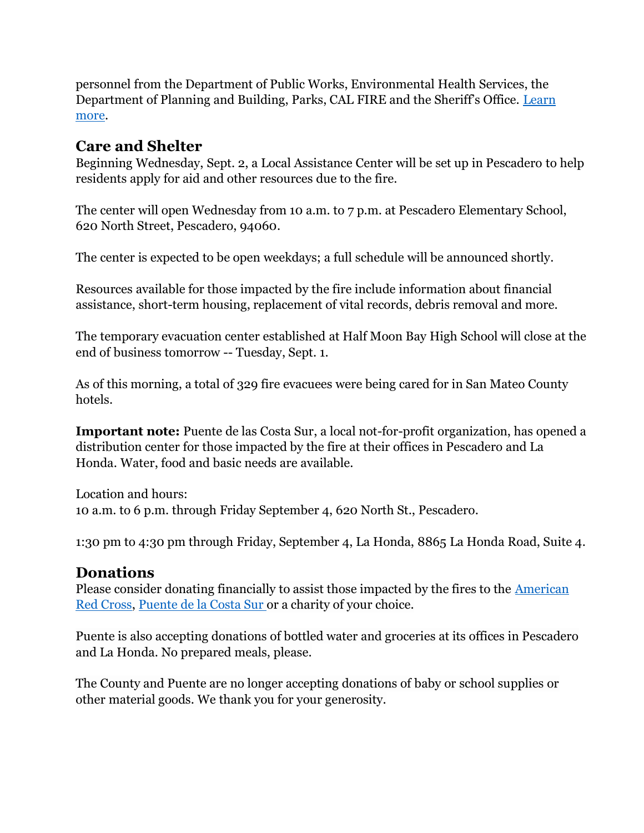personnel from the Department of Public Works, Environmental Health Services, the Department of Planning and Building, Parks, CAL FIRE and the Sheriff's Office. [Learn](https://cmo.smcgov.org/press-release/aug-28-2020-emergency-regulation-lets-county-staff-contractors-temporarily-access)  [more.](https://cmo.smcgov.org/press-release/aug-28-2020-emergency-regulation-lets-county-staff-contractors-temporarily-access)

### **Care and Shelter**

Beginning Wednesday, Sept. 2, a Local Assistance Center will be set up in Pescadero to help residents apply for aid and other resources due to the fire.

The center will open Wednesday from 10 a.m. to 7 p.m. at Pescadero Elementary School, 620 North Street, Pescadero, 94060.

The center is expected to be open weekdays; a full schedule will be announced shortly.

Resources available for those impacted by the fire include information about financial assistance, short-term housing, replacement of vital records, debris removal and more.

The temporary evacuation center established at Half Moon Bay High School will close at the end of business tomorrow -- Tuesday, Sept. 1.

As of this morning, a total of 329 fire evacuees were being cared for in San Mateo County hotels.

**Important note:** Puente de las Costa Sur, a local not-for-profit organization, has opened a distribution center for those impacted by the fire at their offices in Pescadero and La Honda. Water, food and basic needs are available.

Location and hours: 10 a.m. to 6 p.m. through Friday September 4, 620 North St., Pescadero.

1:30 pm to 4:30 pm through Friday, September 4, La Honda, 8865 La Honda Road, Suite 4.

#### **Donations**

Please consider donating financially to assist those impacted by the fires to the **American** [Red Cross,](https://www.redcross.org/local/california/northern-california-coastal/about-us/locations/bay-area.html) [Puente de la Costa Sur](https://donatenow.networkforgood.org/puente) or a charity of your choice.

Puente is also accepting donations of bottled water and groceries at its offices in Pescadero and La Honda. No prepared meals, please.

The County and Puente are no longer accepting donations of baby or school supplies or other material goods. We thank you for your generosity.